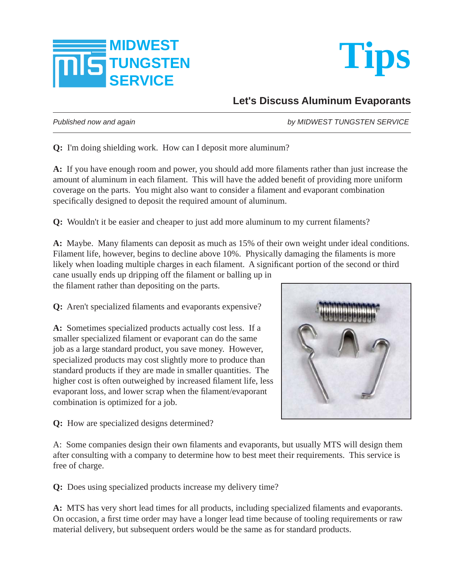



## **Let's Discuss Aluminum Evaporants**

*Published now and again by MIDWEST TUNGSTEN SERVICE*

**Q:** I'm doing shielding work. How can I deposit more aluminum?

A: If you have enough room and power, you should add more filaments rather than just increase the amount of aluminum in each filament. This will have the added benefit of providing more uniform coverage on the parts. You might also want to consider a filament and evaporant combination specifically designed to deposit the required amount of aluminum.

**Q:** Wouldn't it be easier and cheaper to just add more aluminum to my current filaments?

A: Maybe. Many filaments can deposit as much as 15% of their own weight under ideal conditions. Filament life, however, begins to decline above 10%. Physically damaging the filaments is more likely when loading multiple charges in each filament. A significant portion of the second or third cane usually ends up dripping off the filament or balling up in

the filament rather than depositing on the parts.

**Q:** Aren't specialized filaments and evaporants expensive?

**A:** Sometimes specialized products actually cost less. If a smaller specialized filament or evaporant can do the same job as a large standard product, you save money. However, specialized products may cost slightly more to produce than standard products if they are made in smaller quantities. The higher cost is often outweighed by increased filament life, less evaporant loss, and lower scrap when the filament/evaporant combination is optimized for a job.



**Q:** How are specialized designs determined?

A: Some companies design their own filaments and evaporants, but usually MTS will design them after consulting with a company to determine how to best meet their requirements. This service is free of charge.

**Q:** Does using specialized products increase my delivery time?

A: MTS has very short lead times for all products, including specialized filaments and evaporants. On occasion, a first time order may have a longer lead time because of tooling requirements or raw material delivery, but subsequent orders would be the same as for standard products.